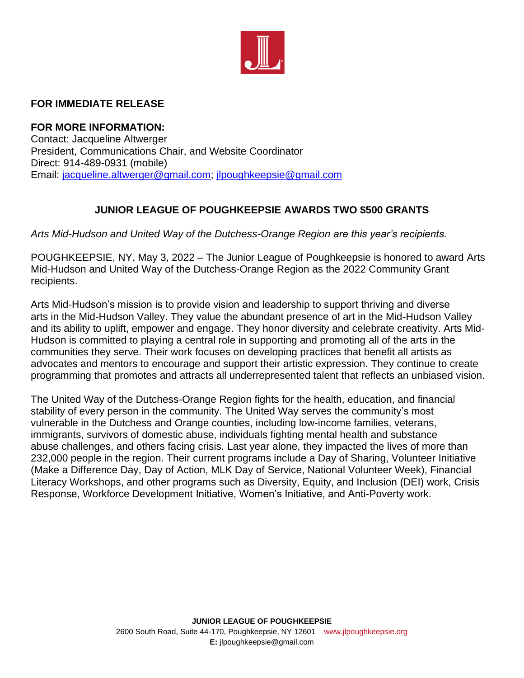

## **FOR IMMEDIATE RELEASE**

**FOR MORE INFORMATION:** Contact: Jacqueline Altwerger President, Communications Chair, and Website Coordinator Direct: 914-489-0931 (mobile) Email: [jacqueline.altwerger@gmail.com;](mailto:jacqueline.altwerger@gmail.com) [jlpoughkeepsie@gmail.com](mailto:jlpoughkeepsie@gmail.com)

## **JUNIOR LEAGUE OF POUGHKEEPSIE AWARDS TWO \$500 GRANTS**

*Arts Mid-Hudson and United Way of the Dutchess-Orange Region are this year's recipients.* 

POUGHKEEPSIE, NY, May 3, 2022 – The Junior League of Poughkeepsie is honored to award Arts Mid-Hudson and United Way of the Dutchess-Orange Region as the 2022 Community Grant recipients.

Arts Mid-Hudson's mission is to provide vision and leadership to support thriving and diverse arts in the Mid-Hudson Valley. They value the abundant presence of art in the Mid-Hudson Valley and its ability to uplift, empower and engage. They honor diversity and celebrate creativity. Arts Mid-Hudson is committed to playing a central role in supporting and promoting all of the arts in the communities they serve. Their work focuses on developing practices that benefit all artists as advocates and mentors to encourage and support their artistic expression. They continue to create programming that promotes and attracts all underrepresented talent that reflects an unbiased vision.

The United Way of the Dutchess-Orange Region fights for the health, education, and financial stability of every person in the community. The United Way serves the community's most vulnerable in the Dutchess and Orange counties, including low-income families, veterans, immigrants, survivors of domestic abuse, individuals fighting mental health and substance abuse challenges, and others facing crisis. Last year alone, they impacted the lives of more than 232,000 people in the region. Their current programs include a Day of Sharing, Volunteer Initiative (Make a Difference Day, Day of Action, MLK Day of Service, National Volunteer Week), Financial Literacy Workshops, and other programs such as Diversity, Equity, and Inclusion (DEI) work, Crisis Response, Workforce Development Initiative, Women's Initiative, and Anti-Poverty work.